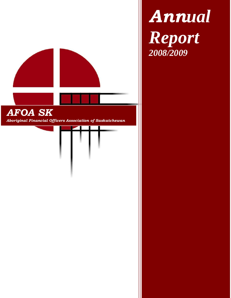

*Annual Report 2008/2009*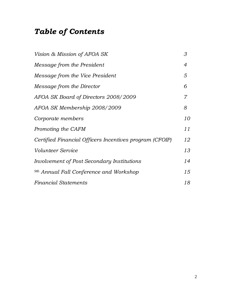# *Table of Contents*

| Vision & Mission of AFOA SK                             | 3  |
|---------------------------------------------------------|----|
| Message from the President                              | 4  |
| Message from the Vice President                         | 5  |
| Message from the Director                               | 6  |
| AFOA SK Board of Directors 2008/2009                    | 7  |
| AFOA SK Membership 2008/2009                            | 8  |
| Corporate members                                       | 10 |
| Promoting the CAFM                                      | 11 |
| Certified Financial Officers Incentives program (CFOIP) | 12 |
| <i>Volunteer Service</i>                                | 13 |
| Involvement of Post Secondary Institutions              | 14 |
| <sup>9th</sup> Annual Fall Conference and Workshop      | 15 |
| <b>Financial Statements</b>                             | 18 |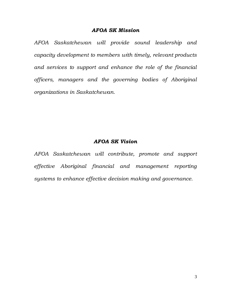#### *AFOA SK Mission*

*AFOA Saskatchewan will provide sound leadership and capacity development to members with timely, relevant products and services to support and enhance the role of the financial officers, managers and the governing bodies of Aboriginal organizations in Saskatchewan.*

#### *AFOA SK Vision*

*AFOA Saskatchewan will contribute, promote and support effective Aboriginal financial and management reporting systems to enhance effective decision making and governance.*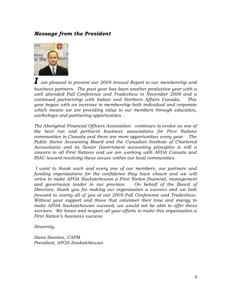#### *Message from the President*



*I am pleased to present our 2009 Annual Report to our membership and business partners. The past year has been another productive year with a well attended Fall Conference and Tradeshow in November 2008 and a continued partnership with Indian and Northern Affairs Canada. This year began with an increase in membership both individual and corporate which means we are providing value to our members through education, workshops and partnering opportunities. .* 

*The Aboriginal Financial Officers Association continues to evolve as one of the best run and pertinent business associations for First Nations communities in Canada and there are more opportunities every year. The Public Sector Accounting Board and the Canadian Institute of Chartered Accountants and its Senior Government accounting principles is still a concern to all First Nations and we are working with AFOA Canada and INAC toward resolving these issues within our local communities.* 

*I want to thank each and every one of our members, our partners and funding organizations for the confidence they have shown and we will strive to make AFOA Saskatchewan a First Nation financial, management*  and governance leader in our province. On behalf of the Board of *Directors, thank you for making our organization a success and we look forward to seeing all of you at our 2009 Fall Conference and Tradeshow. Without your support and those that volunteer their time and energy to make AFOA Saskatchewan succeed, we would not be able to offer these services. We honor and respect all your efforts to make this organization a First Nation's business success.*

*Sincerely,*

*Dana Soonias, CAFM President, AFOA Saskatchewan*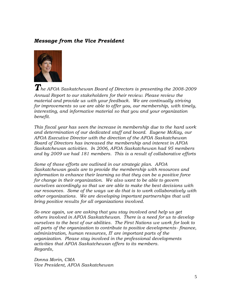#### *Message from the Vice President*



*The AFOA Saskatchewan Board of Directors is presenting the 2008-2009 Annual Report to our stakeholders for their review. Please review the material and provide us with your feedback. We are continually striving for improvements so we are able to offer you, our membership, with timely, interesting, and informative material so that you and your organization benefit.* 

*This fiscal year has seen the increase in membership due to the hard work and determination of our dedicated staff and board. Eugene McKay, our AFOA Executive Director with the direction of the AFOA Saskatchewan Board of Directors has increased the membership and interest in AFOA Saskatchewan activities. In 2006, AFOA Saskatchewan had 95 members and by 2009 we had 181 members. This is a result of collaborative efforts*

*Some of those efforts are outlined in our strategic plan. AFOA Saskatchewan goals are to provide the membership with resources and information to enhance their learning so that they can be a positive force for change in their organization. We also want to be able to govern ourselves accordingly so that we are able to make the best decisions with our resources. Some of the ways we do that is to work collaboratively with other organizations. We are developing important partnerships that will bring positive results for all organizations involved.*

*So once again, we are asking that you stay involved and help us get others involved in AFOA Saskatchewan. There is a need for us to develop ourselves to the best of our abilities. The First Nations we work for look to all parts of the organization to contribute to positive developments- finance, administration, human resources, IT are important parts of the organization. Please stay involved in the professional developments activities that AFOA Saskatchewan offers to its members. Regards,*

*Donna Morin, CMA Vice President, AFOA Saskatchewan*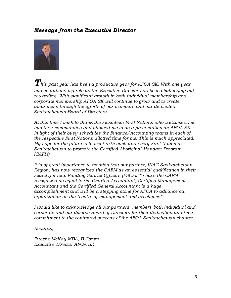#### *Message from the Executive Director*



*This past year has been a productive year for AFOA SK. With one year into operations my role as the Executive Director has been challenging but rewarding. With significant growth in both individual membership and corporate membership AFOA SK will continue to grow and to create awareness through the efforts of our members and our dedicated Saskatchewan Board of Directors.*

*At this time I wish to thank the seventeen First Nations who welcomed me into their communities and allowed me to do a presentation on AFOA SK. In light of their busy schedules the Finance/Accounting teams in each of the respective First Nations allotted time for me. This is much appreciated. My hope for the future is to meet with each and every First Nation in Saskatchewan to promote the Certified Aboriginal Manager Program (CAFM).*

*It is of great importance to mention that our partner, INAC Saskatchewan Region, has now recognized the CAFM as an essential qualification in their search for new Funding Service Officers (FSOs). To have the CAFM recognized as equal to the Charted Accountant, Certified Management Accountant and the Certified General Accountant is a huge accomplishment and will be a stepping stone for AFOA to advance our organization as the "centre of management and excellence".*

*I would like to acknowledge all our partners, members both individual and corporate and our diverse Board of Directors for their dedication and their commitment to the continued success of the AFOA Saskatchewan chapter.*

*Regards,*

*Eugene McKay MBA, B.Comm Executive Director AFOA SK*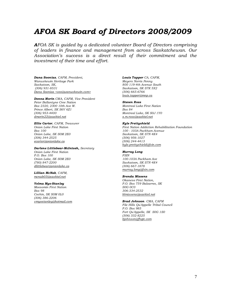## *AFOA SK Board of Directors 2008/2009*

*AFOA SK is guided by a dedicated volunteer Board of Directors comprising of leaders in finance and management from across Saskatchewan. Our Association's success is a direct result of their commitment and the investment of their time and effort.*

*Dana Soonias, CAFM, President, Wanuskewin Heritage Park Saskatoon, SK, (306) 931-8531 [Dana Soonias <ceo@wanuskewin.com>](javascript:parent.addSender(%22Dana%20Soonias%20%3cceo@wanuskewin.com%3e%22))*

*Donna Morin CMA, CAFM, Vice President Peter Ballantyne Cree Nation Box 2320, 2300 10th Ave W. Prince Albert, SK S6V 6Z1 (306) 953-4400 [dmorin22@sasktel.net](mailto:dmorin22@sasktel.net)*

*Ellie Carter, CAFM, Treasurer Onion Lake First Nation Box 100 Onion Lake, SK S0M 2E0 (306) 344-2525 [ecarter@onionlake.ca](mailto:ecarter@onionlake.ca)*

*Darlene Littlebear-McIntosh, Secretary Onion Lake First Nation P.O. Box 100 Onion Lake, SK S0M 2E0 (780) 847-2200 [dlittlebear@onionlake.ca](mailto:dlittlebear@onionlake.ca)*

*Lillian McNab, CAFM, [mcnab03@sasktel.net](mailto:mcnab03@sasktel.net)*

#### *Velma Myo-Stanley*

*Moosomin First Nation Box 98 Cochin, SK S0M 0L0 (306) 386-2206 [vmyostanley@hotmail.com](mailto:vmyostanley@hotmail.com)* *Louis Tapper CA, CAFM, Meyers Norris Penny 800 119-4th Avenue South Saskatoon, SK S7K 5X2 (306) 665-6766 [louis.tapper@mnp.ca](mailto:louis.tapper@mnp.ca)*

#### *Steven Ross*

*Montreal Lake First Nation Box 84 Montreal Lake, SK S0J 1Y0 [s.m.ross@sasktel.net](mailto:s.m.ross@sasktel.net)*

#### *Kyle Prettyshield*

*First Nation Addiction Rehabilitation Foundation 100 - 103A Packham Avenue Saskatoon, SK S7N 4K4 (306) 956-1027 (306) 244-4413 [kyle.prettyshield@fsin.com](mailto:kyle.prettyshield@fsin.com)*

#### *Murray Long*

*FSIN 100-103A Packham Ave Saskatoon, SK S7N 4K4 (306) 667-1878 [murray.long@fsin.com](mailto:murray.long@fsin.com)*

#### *Brenda Missens*

*Okanese First Nation, P.O. Box 759 Balcarres, SK S0G 0C0 306-334-2532 blmissens@sasktel.net*

*Brad Johnson CMA, CAFM File Hills Qu'Appelle Tribal Council P.O. Box 985 Fort Qu'Appelle, SK S0G 1S0 (306) 332-8225 [bjohnson@fhqtc.com](mailto:bjohnson@fhqtc.com)*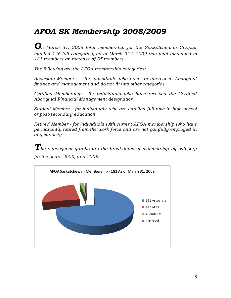# *AFOA SK Membership 2008/2009*

*On March 31, <sup>2008</sup> total membership for the Saskatchewan Chapter totalled 146 (all categories) as of March 31st, 2009 this total increased to 181 members an increase of 35 members.* 

*The following are the AFOA membership categories:*

*Associate Member - for individuals who have an interest in Aboriginal finance and management and do not fit into other categories*

*Certified Membership - for individuals who have received the Certified Aboriginal Financial Management designation*

*Student Member - for individuals who are enrolled full-time in high school or post-secondary education*

*Retired Member - for individuals with current AFOA membership who have permanently retired from the work force and are not gainfully employed in any capacity*

*The subsequent graphs are the breakdown of membership by category for the years 2009, and 2008.*

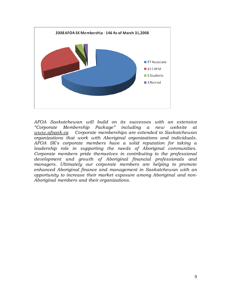

*AFOA Saskatchewan will build on its successes with an extensive "Corporate Membership Package" including a new website at [www.afoask.ca](http://www.afoask.ca/) Corporate memberships are extended to Saskatchewan organizations that work with Aboriginal organizations and individuals. AFOA SK's corporate members have a solid reputation for taking a leadership role in supporting the needs of Aboriginal communities. Corporate members pride themselves in contributing to the professional development and growth of Aboriginal financial professionals and managers. Ultimately our corporate members are helping to promote enhanced Aboriginal finance and management in Saskatchewan with an opportunity to increase their market exposure among Aboriginal and non-Aboriginal members and their organizations.*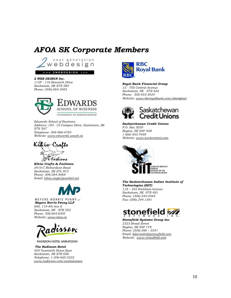## *AFOA SK Corporate Members*



www.2WEBDESIGN.com

#### *2 WEB DESIGN Inc.*

*112F - 116 Research Drive Saskatoon, SK S7N 3R3 Phone: (306) 664-2932*



*Edwards School of Business Address: 185 - 25 Campus Drive, Saskatoon, SK S7N 5A7 Telephone: 306-966-4785 Website: [www.edwards.usask.ca](http://www.edwards.usask.ca/)*



*Kihiw Crafts & Fashions 2410-C Richardson Road Saskatoon, SK S7L 4C2 Phone: 306-384-3069 Email[: kihiw.eagle@sasktel.net](mailto:kihiw.eagle@sasktel.net)*



MEYERS NORRIS PENNY LLP *Meyers Norris Penny LLP 800, 119 4th Ave S Saskatoon, SK S7K 5X2 Phone: 306.664.8305 Website: [www.mnp.ca](http://www.mnp.ca/)*



RADISSON HOTEL SASKATOON

*The Radisson Hotel 405 Twentieth Street East Saskatoon, SK S7K 6X6 Telephone: 1-306-665-3322 [www.radisson.com/saskatoonca](http://www.radisson.com/saskatoonca)*



*Royal Bank Financial Group 12 - 705 Central Avenue Saskatoon, SK S7N 3A4 Phone: 306-933-3424 Website[: www.rbcroyalbank.com/aboriginal](http://www.rbcroyalbank.com/aboriginal)*



*Saskatchewan Credit Unions P.O. Box 3030 Regina, SK S4P 3G8 1-866-403-7499 Website[: www.saskcentral.com,](http://www.saskcentral.com/)* 



*The Saskatchewan Indian Institute of Technologies (SIIT) 118 – 335 Packham Avenue Saskatoon, SK S7N 4S1 Phone: (306) 244-4444 Fax: (306) 244-1391*



*Stonefield Systems Group Inc. 2323 Broad Street Regina, SK S4P 1Y9 Phone: (306) 586 – 3341 Email[: bdarmokid@stonefield.com](mailto:bdarmokid@stonefield.com) Website: [www.stonefield.com](http://www.stonefield.com/)*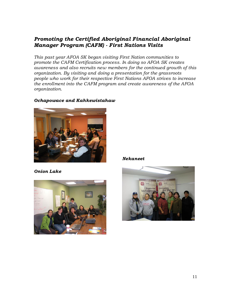### *Promoting the Certified Aboriginal Financial Aboriginal Manager Program (CAFM) - First Nations Visits*

*This past year AFOA SK began visiting First Nation communities to promote the CAFM Certification process. In doing so AFOA SK creates awareness and also recruits new members for the continued growth of this organization. By visiting and doing a presentation for the grassroots people who work for their respective First Nations AFOA strives to increase the enrollment into the CAFM program and create awareness of the AFOA organization.*

#### *Ochapowace and Kahkewistahaw*



*Onion Lake*



*Nekaneet*

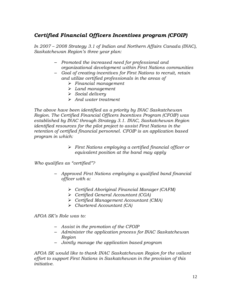### *Certified Financial Officers Incentives program (CFOIP)*

*In 2007 – 2008 Strategy 3.1 of Indian and Northern Affairs Canada (INAC), Saskatchewan Region's three year plan:*

- *Promoted the increased need for professional and organizational development within First Nations communities*
- *Goal of creating incentives for First Nations to recruit, retain and utilize certified professionals in the areas of*
	- *Financial management*
	- *Land management*
	- *Social delivery*
	- *And water treatment*

*The above have been identified as a priority by INAC Saskatchewan Region. The Certified Financial Officers Incentives Program (CFOIP) was established by INAC through Strategy 3.1. INAC, Saskatchewan Region identified resources for the pilot project to assist First Nations in the retention of certified financial personnel. CFOIP is an application based program in which:*

> *First Nations employing a certified financial officer or equivalent position at the band may apply*

*Who qualifies as "certified"?*

- *Approved First Nations employing a qualified band financial officer with a:*
	- *Certified Aboriginal Financial Manager (CAFM)*
	- *Certified General Accountant (CGA)*
	- *Certified Management Accountant (CMA)*
	- *Chartered Accountant (CA)*

*AFOA SK's Role was to:*

- *Assist in the promotion of the CFOIP*
- *Administer the application process for INAC Saskatchewan Region*
- *Jointly manage the application based program*

*AFOA SK would like to thank INAC Saskatchewan Region for the valiant effort to support First Nations in Saskatchewan in the provision of this initiative.*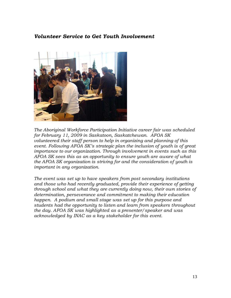#### *Volunteer Service to Get Youth Involvement*



*The Aboriginal Workforce Participation Initiative career fair was scheduled for February 11, 2009 in Saskatoon, Saskatchewan. AFOA SK volunteered their staff person to help in organizing and planning of this event. Following AFOA SK's strategic plan the inclusion of youth is of great importance to our organization. Through involvement in events such as this AFOA SK sees this as an opportunity to ensure youth are aware of what the AFOA SK organization is striving for and the consideration of youth is important in any organization.*

*The event was set up to have speakers from post secondary institutions and those who had recently graduated, provide their experience of getting through school and what they are currently doing now, their own stories of determination, perseverance and commitment to making their education happen. A podium and small stage was set up for this purpose and students had the opportunity to listen and learn from speakers throughout the day. AFOA SK was highlighted as a presenter/speaker and was acknowledged by INAC as a key stakeholder for this event.*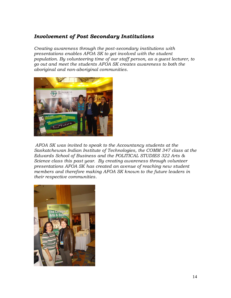#### *Involvement of Post Secondary Institutions*

*Creating awareness through the post-secondary institutions with presentations enables AFOA SK to get involved with the student population. By volunteering time of our staff person, as a guest lecturer, to go out and meet the students AFOA SK creates awareness to both the aboriginal and non-aboriginal communities.*



*AFOA SK was invited to speak to the Accountancy students at the Saskatchewan Indian Institute of Technologies, the COMM 347 class at the Edwards School of Business and the POLITICAL STUDIES 322 Arts & Science class this past year. By creating awareness through volunteer presentations AFOA SK has created an avenue of reaching new student members and therefore making AFOA SK known to the future leaders in their respective communities.*

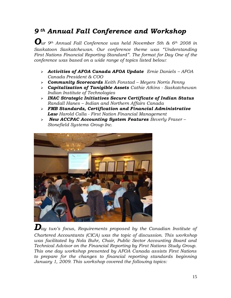## *9 th Annual Fall Conference and Workshop*

*Our 9th Annual Fall Conference was held November 5th & 6th <sup>2008</sup> in Saskatoon Saskatchewan. Our conference theme was "Understanding First Nations Financial Reporting Standard". The format for Day One of the conference was based on a wide range of topics listed below:*

- *Activities of AFOA Canada AFOA Update Ernie Daniels – AFOA Canada President & COO*
- *Community Scorecards Keith Fonstad – Meyers Norris Penny*
- *Capitalization of Tanigible Assets Cathie Atkins - Saskatchewan Indian Institute of Technologies*
- *INAC Strategic Initiatives Secure Certificate of Indian Status Randall Hanes – Indian and Northern Affairs Canada*
- *FMB Standards, Certification and Financial Administrative Law Harold Calla - First Nation Financial Management*
- *New ACCPAC Accounting System Features Beverly Fraser – Stonefield Systems Group Inc.*



 $\boldsymbol{D}$ ay two's focus, Requirements proposed by the Canadian Institute of *Chartered Accountants (CICA) was the topic of discussion. This workshop was facilitated by Nola Buhr, Chair, Public Sector Accounting Board and Technical Advisor on the Financial Reporting by First Nations Study Group. This one day workshop presented by AFOA Canada assists First Nations to prepare for the changes to financial reporting standards beginning January 1, 2009. This workshop covered the following topics:*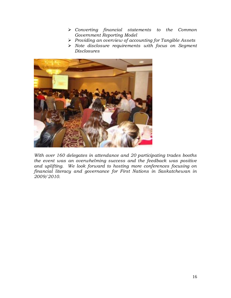- *Converting financial statements to the Common Government Reporting Model*
- *Providing an overview of accounting for Tangible Assets*
- *Note disclosure requirements with focus on Segment Disclosures*



*With over 160 delegates in attendance and 20 participating trades booths the event was an overwhelming success and the feedback was positive and uplifting. We look forward to hosting more conferences focusing on financial literacy and governance for First Nations in Saskatchewan in 2009/2010.*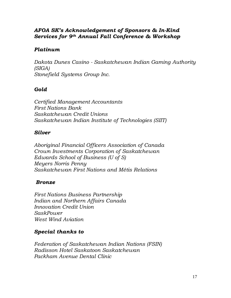### *AFOA SK's Acknowledgement of Sponsors & In-Kind Services for 9th Annual Fall Conference & Workshop*

### *Platinum*

*Dakota Dunes Casino - Saskatchewan Indian Gaming Authority (SIGA) Stonefield Systems Group Inc.*

### *Gold*

*Certified Management Accountants First Nations Bank Saskatchewan Credit Unions Saskatchewan Indian Institute of Technologies (SIIT)*

### *Silver*

*Aboriginal Financial Officers Association of Canada Crown Investments Corporation of Saskatchewan Edwards School of Business (U of S) Meyers Norris Penny Saskatchewan First Nations and Métis Relations*

### *Bronze*

*First Nations Business Partnership Indian and Northern Affairs Canada Innovation Credit Union SaskPower West Wind Aviation*

### *Special thanks to*

*Federation of Saskatchewan Indian Nations (FSIN) Radisson Hotel Saskatoon Saskatchewan Packham Avenue Dental Clinic*